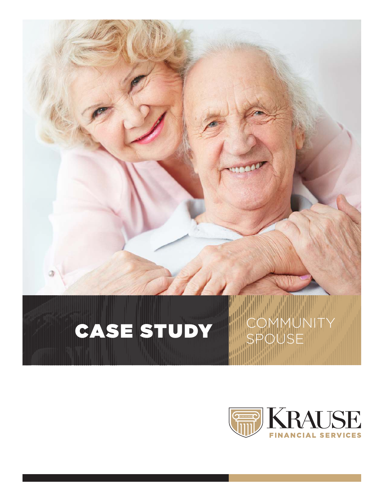

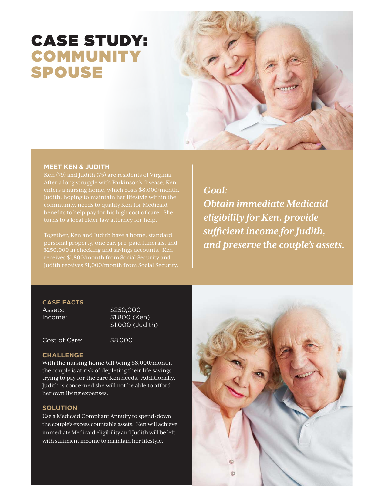# CASE STUDY: COMMUNITY SPOUSE

#### **MEET KEN & JUDITH**

After a long struggle with Parkinson's disease, Ken Judith, hoping to maintain her lifestyle within the turns to a local elder law attorney for help.

\$250,000 in checking and savings accounts. Ken

*Goal: Obtain immediate Medicaid eligibility for Ken, provide sufficient income for Judith, and preserve the couple's assets.*

# **CASE FACTS**

Assets: \$250,000 Income: \$1,800 (Ken) \$1,000 (Judith)

Cost of Care: \$8,000

#### **CHALLENGE**

With the nursing home bill being \$8,000/month, the couple is at risk of depleting their life savings trying to pay for the care Ken needs. Additionally, Judith is concerned she will not be able to afford her own living expenses.

#### **SOLUTION**

Use a Medicaid Compliant Annuity to spend-down the couple's excess countable assets. Ken will achieve immediate Medicaid eligibility and Judith will be left with sufficient income to maintain her lifestyle.